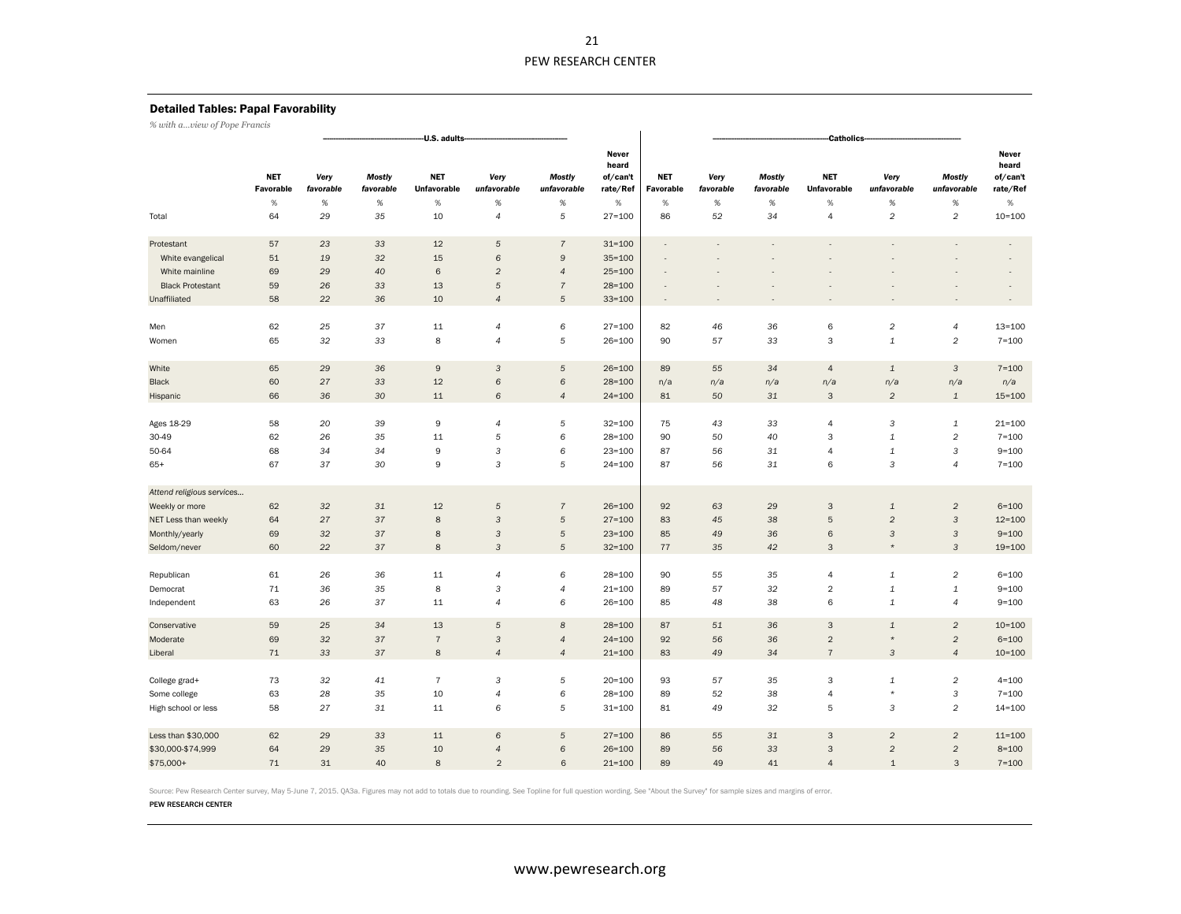# Detailed Tables: Papal Favorability

*% with a…view of Pope Francis*

|                           |                         |                   |                                                                                                            | U.S. adults    |                           |                              |                                        | <b>Catholics</b>         |                   |                            |                                  |                           |                              |                                        |  |  |  |  |
|---------------------------|-------------------------|-------------------|------------------------------------------------------------------------------------------------------------|----------------|---------------------------|------------------------------|----------------------------------------|--------------------------|-------------------|----------------------------|----------------------------------|---------------------------|------------------------------|----------------------------------------|--|--|--|--|
|                           | <b>NFT</b><br>Favorable | Very<br>favorable | <b>NET</b><br><b>Mostly</b><br>Very<br>unfavorable<br>favorable<br><b>Unfavorable</b><br>$\%$<br>$\%$<br>% |                |                           | <b>Mostly</b><br>unfavorable | Never<br>heard<br>of/can't<br>rate/Ref | <b>NET</b><br>Favorable  | Very<br>favorable | <b>Mostly</b><br>favorable | <b>NET</b><br><b>Unfavorable</b> | Very<br>unfavorable       | <b>Mostly</b><br>unfavorable | Never<br>heard<br>of/can't<br>rate/Ref |  |  |  |  |
|                           | $\%$                    | $\%$              |                                                                                                            |                |                           | $\%$                         | $\%$                                   | $\%$                     | $\%$              | $\%$                       | %                                | $\%$                      | $\%$                         | $\%$                                   |  |  |  |  |
| Total                     | 64                      | 29                | 35                                                                                                         | 10             | $\overline{4}$            | 5                            | $27 = 100$                             | 86                       | 52                | 34                         | $\overline{4}$                   | $\sqrt{2}$                | $\overline{c}$               | $10 = 100$                             |  |  |  |  |
| Protestant                | 57                      | 23                | 33                                                                                                         | 12             | $\sqrt{5}$                | $\overline{7}$               | $31 = 100$                             | ÷,                       | Ĭ.                |                            |                                  | L.                        |                              |                                        |  |  |  |  |
| White evangelical         | 51                      | 19                | 32                                                                                                         | 15             | 6                         | 9                            | $35 = 100$                             |                          |                   |                            |                                  |                           |                              |                                        |  |  |  |  |
| White mainline            | 69                      | 29                | 40                                                                                                         | $\,6$          | $\overline{2}$            | $\overline{4}$               | $25 = 100$                             |                          |                   |                            |                                  |                           |                              |                                        |  |  |  |  |
| <b>Black Protestant</b>   | 59                      | 26                | 33                                                                                                         | 13             | $\sqrt{5}$                | $\overline{\mathcal{I}}$     | $28 = 100$                             |                          |                   |                            |                                  |                           |                              |                                        |  |  |  |  |
| Unaffiliated              | 58                      | 22                | 36                                                                                                         | 10             | $\overline{4}$            | 5                            | $33 = 100$                             | $\overline{\phantom{a}}$ |                   |                            |                                  |                           |                              |                                        |  |  |  |  |
| Men                       | 62                      | 25                | 37                                                                                                         | $11\,$         | $\overline{4}$            | 6                            | $27 = 100$                             | 82                       | 46                | 36                         | 6                                | $\sqrt{2}$                | $\overline{4}$               | $13 = 100$                             |  |  |  |  |
| Women                     | 65                      | 32                | 33                                                                                                         | 8              | $\overline{4}$            | 5                            | $26 = 100$                             | 90                       | 57                | 33                         | 3                                | $\mathbf 1$               | $\overline{c}$               | $7 = 100$                              |  |  |  |  |
| White                     | 65                      | 29                | 36                                                                                                         | $\mathsf g$    | 3                         | 5                            | $26 = 100$                             | 89                       | 55                | 34                         | $\overline{4}$                   | $\mathbf 1$               | $\mathbf{3}$                 | $7 = 100$                              |  |  |  |  |
| Black                     | 60                      | 27                | 33                                                                                                         | 12             | 6                         | 6                            | $28 = 100$                             | n/a                      | n/a               | n/a                        | n/a                              | n/a                       | n/a                          | n/a                                    |  |  |  |  |
| Hispanic                  | 66                      | 36                | 30                                                                                                         | 11             | 6                         | $\overline{4}$               | $24 = 100$                             | 81                       | 50                | 31                         | 3                                | $\overline{c}$            | $\mathbf{1}$                 | $15 = 100$                             |  |  |  |  |
|                           | 58                      | 20                | 39                                                                                                         | 9              | $\overline{4}$            | 5                            | $32 = 100$                             | 75                       | 43                | 33                         | $\overline{4}$                   | 3                         | $\mathbf{1}$                 | $21 = 100$                             |  |  |  |  |
| Ages 18-29                |                         |                   |                                                                                                            |                |                           |                              |                                        |                          |                   |                            |                                  |                           |                              |                                        |  |  |  |  |
| 30-49                     | 62                      | 26                | 35                                                                                                         | 11             | 5                         | 6                            | $28 = 100$                             | 90                       | 50                | 40                         | 3                                | $\mathbf 1$               | $\overline{c}$               | $7 = 100$                              |  |  |  |  |
| 50-64                     | 68                      | 34                | 34                                                                                                         | 9              | $\ensuremath{\mathsf{3}}$ | 6                            | $23 = 100$                             | 87                       | 56                | 31                         | $\overline{4}$                   | $\mathbf 1$               | $\mathsf 3$                  | $9 = 100$                              |  |  |  |  |
| $65+$                     | 67                      | 37                | 30                                                                                                         | 9              | $\mathsf{3}$              | 5                            | $24 = 100$                             | 87                       | 56                | 31                         | 6                                | 3                         | $\overline{4}$               | $7 = 100$                              |  |  |  |  |
| Attend religious services |                         |                   |                                                                                                            |                |                           |                              |                                        |                          |                   |                            |                                  |                           |                              |                                        |  |  |  |  |
| Weekly or more            | 62                      | 32 <sup>2</sup>   | 31                                                                                                         | 12             | 5                         | $\overline{7}$               | $26 = 100$                             | 92                       | 63                | 29                         | 3                                | $\mathbf 1$               | $\overline{c}$               | $6 = 100$                              |  |  |  |  |
| NET Less than weekly      | 64                      | 27                | 37                                                                                                         | $\bf 8$        | $\ensuremath{\mathsf{3}}$ | $\sqrt{5}$                   | $27 = 100$                             | 83                       | 45                | 38                         | $\overline{5}$                   | $\sqrt{2}$                | $\mathsf 3$                  | $12 = 100$                             |  |  |  |  |
| Monthly/yearly            | 69                      | 32                | 37                                                                                                         | 8              | $\sqrt{3}$                | 5                            | $23 = 100$                             | 85                       | 49                | 36                         | $\,$ 6                           | $\mathbf{3}$              | $\mathsf 3$                  | $9 = 100$                              |  |  |  |  |
| Seldom/never              | 60                      | 22                | 37                                                                                                         | $\bf8$         | $\mathbf{3}$              | $\sqrt{5}$                   | $32 = 100$                             | 77                       | 35                | 42                         | 3                                | $\star$                   | $\sqrt{3}$                   | $19 = 100$                             |  |  |  |  |
| Republican                | 61                      | 26                | 36                                                                                                         | 11             | $\overline{4}$            | 6                            | $28 = 100$                             | 90                       | 55                | 35                         | $\overline{4}$                   | $\mathbf 1$               | $\overline{c}$               | $6 = 100$                              |  |  |  |  |
| Democrat                  | 71                      | 36                | 35                                                                                                         | $\bf 8$        | $\ensuremath{\mathsf{3}}$ | $\overline{4}$               | $21 = 100$                             | 89                       | 57                | 32                         | $\sqrt{2}$                       | $\ensuremath{\mathbf{1}}$ | $\mathbf 1$                  | $9 = 100$                              |  |  |  |  |
| Independent               | 63                      | 26                | 37                                                                                                         | 11             | $\overline{4}$            | 6                            | $26 = 100$                             | 85                       | 48                | 38                         | 6                                | $\mathbf 1$               | $\overline{4}$               | $9 = 100$                              |  |  |  |  |
| Conservative              | 59                      | 25                | 34                                                                                                         | 13             | 5                         | 8                            | $28 = 100$                             | 87                       | 51                | 36                         | 3                                | $\mathbf 1$               | $\overline{c}$               | $10 = 100$                             |  |  |  |  |
| Moderate                  | 69                      | 32                | 37                                                                                                         | $\overline{7}$ | $\sqrt{3}$                | $\overline{4}$               | $24 = 100$                             | 92                       | 56                | 36                         | $\overline{2}$                   | $\star$                   | $\overline{c}$               | $6 = 100$                              |  |  |  |  |
| Liberal                   | 71                      | 33                | 37                                                                                                         | 8              | $\overline{4}$            | $\overline{4}$               | $21 = 100$                             | 83                       | 49                | 34                         | $\overline{7}$                   | $\sqrt{3}$                | $\overline{4}$               | $10 = 100$                             |  |  |  |  |
| College grad+             | 73                      | 32                | 41                                                                                                         | $\overline{7}$ | $\sqrt{3}$                | 5                            | $20 = 100$                             | 93                       | 57                | 35                         | 3                                | $\mathbf 1$               | $\overline{c}$               | $4 = 100$                              |  |  |  |  |
| Some college              | 63                      | 28                | 35                                                                                                         | 10             | $\overline{4}$            | 6                            | $28 = 100$                             | 89                       | 52                | 38                         | $\overline{4}$                   | $\star$                   | $\mathsf 3$                  | $7 = 100$                              |  |  |  |  |
| High school or less       | 58                      | 27                | 31                                                                                                         | 11             | 6                         | 5                            | $31 = 100$                             | 81                       | 49                | 32                         | 5                                | $\sqrt{3}$                | $\overline{c}$               | $14 = 100$                             |  |  |  |  |
| Less than \$30,000        | 62                      | 29                | 33                                                                                                         | 11             | 6                         | 5                            | $27 = 100$                             | 86                       | 55                | 31                         | $\mathsf 3$                      | $\sqrt{2}$                | $\overline{c}$               | $11 = 100$                             |  |  |  |  |
| \$30,000-\$74,999         | 64                      | 29                | 35                                                                                                         | 10             | $\overline{4}$            | 6                            | $26 = 100$                             | 89                       | 56                | 33                         | 3                                | $\overline{c}$            | $\overline{a}$               | $8 = 100$                              |  |  |  |  |
| \$75,000+                 | 71                      | 31                | 40                                                                                                         | 8              | $\overline{2}$            | 6                            | $21 = 100$                             | 89                       | 49                | 41                         | $\overline{4}$                   | $\mathbf{1}$              | 3                            | $7 = 100$                              |  |  |  |  |

Source: Pew Research Center survey, May 5-June 7, 2015. QA3a. Figures may not add to totals due to rounding. See Topline for full question wording. See "About the Survey" for sample sizes and margins of error.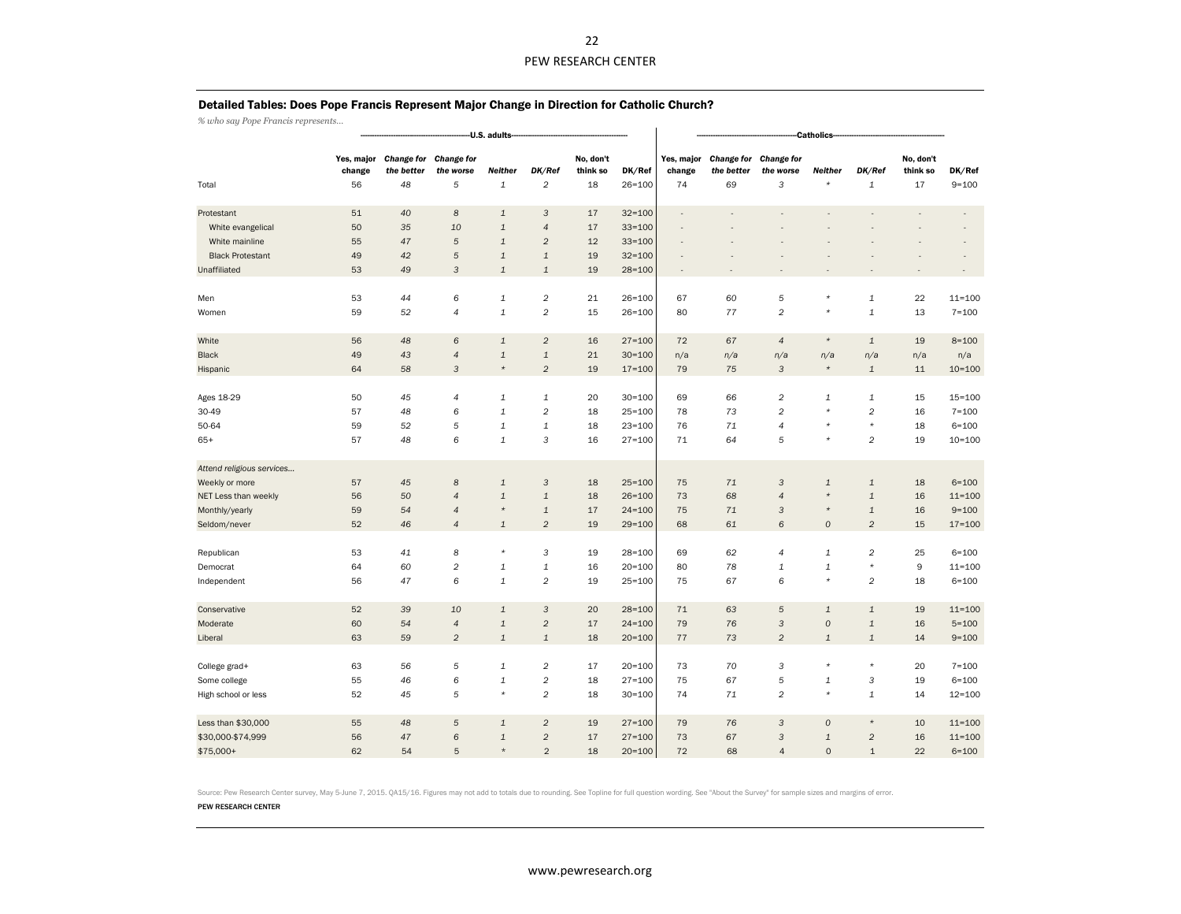#### Detailed Tables: Does Pope Francis Represent Major Change in Direction for Catholic Church?

*% who say Pope Francis represents…*

|                           |                            |                                       |                                     | -U.S. adults-                          |                           |                             | Catholics-           |                            |                                       |                                                 |                     |                           |                             |                     |  |  |
|---------------------------|----------------------------|---------------------------------------|-------------------------------------|----------------------------------------|---------------------------|-----------------------------|----------------------|----------------------------|---------------------------------------|-------------------------------------------------|---------------------|---------------------------|-----------------------------|---------------------|--|--|
| Total                     | Yes, major<br>change<br>56 | <b>Change for</b><br>the better<br>48 | <b>Change for</b><br>the worse<br>5 | Neither<br>$\mathbf 1$                 | DK/Ref<br>$\overline{c}$  | No, don't<br>think so<br>18 | DK/Ref<br>$26 = 100$ | Yes, major<br>change<br>74 | <b>Change for</b><br>the better<br>69 | <b>Change for</b><br>the worse<br>3             | Neither<br>$\star$  | DK/Ref<br>$\mathbf 1$     | No, don't<br>think so<br>17 | DK/Ref<br>$9 = 100$ |  |  |
|                           |                            |                                       |                                     |                                        |                           |                             |                      |                            |                                       |                                                 |                     |                           |                             |                     |  |  |
| Protestant                | 51                         | 40                                    | $\boldsymbol{8}$                    | $\mathbf 1$                            | 3                         | 17                          | $32 = 100$           | $\overline{\phantom{m}}$   |                                       |                                                 |                     |                           |                             |                     |  |  |
| White evangelical         | 50                         | 35                                    | 10                                  | $\mathbf 1$                            | $\overline{4}$            | 17                          | $33 = 100$           |                            |                                       |                                                 |                     |                           |                             |                     |  |  |
| White mainline            | 55                         | 47                                    | 5                                   | $\mathbf 1$                            | $\overline{c}$            | 12                          | $33 = 100$           |                            |                                       |                                                 |                     |                           |                             | $\overline{a}$      |  |  |
| <b>Black Protestant</b>   | 49                         | 42                                    | 5                                   | $\mathbf{1}$                           | $\mathbf 1$               | 19                          | $32 = 100$           |                            |                                       |                                                 |                     |                           |                             |                     |  |  |
| Unaffiliated              | 53                         | 49                                    | 3                                   | $\mathbf{1}$                           | $\mathbf 1$               | 19                          | $28 = 100$           |                            |                                       |                                                 |                     |                           |                             |                     |  |  |
|                           |                            |                                       |                                     |                                        |                           |                             |                      |                            |                                       |                                                 |                     |                           |                             |                     |  |  |
| Men                       | 53                         | 44                                    | 6                                   | $\mathbf 1$                            | $\overline{\mathbf{c}}$   | 21                          | $26 = 100$           | 67                         | 60                                    | 5                                               | $\star$             | $\mathbf{1}$              | 22                          | $11 = 100$          |  |  |
| Women                     | 59                         | 52                                    | 4                                   | $\mathbf{1}$                           | $\overline{c}$            | 15                          | $26 = 100$           | 80                         | 77                                    | $\overline{c}$                                  | $\star$             | $\mathbf 1$               | 13                          | $7 = 100$           |  |  |
|                           |                            |                                       |                                     |                                        |                           |                             |                      |                            |                                       |                                                 |                     |                           |                             |                     |  |  |
| White                     | 56                         | 48                                    | 6                                   | $\mathbf 1$                            | $\overline{c}$            | 16                          | $27 = 100$           | 72                         | 67                                    | $\overline{4}$                                  | $\star$             | $\mathbf{1}$              | 19                          | $8 = 100$           |  |  |
| Black                     | 49                         | 43                                    | $\overline{\mathcal{A}}$            | $\ensuremath{\mathnormal{\mathbb{1}}}$ | $\ensuremath{\mathbf{1}}$ | 21                          | $30 = 100$           | n/a                        | n/a                                   | n/a                                             | n/a                 | n/a                       | n/a                         | n/a                 |  |  |
| Hispanic                  | 64                         | 58                                    | 3                                   | $\star$                                | $\overline{c}$            | 19                          | $17 = 100$           | 79                         | 75                                    | $\mathsf{3}$                                    | $\star$             | $\mathbf 1$               | 11                          | $10 = 100$          |  |  |
|                           |                            |                                       |                                     |                                        |                           |                             |                      |                            |                                       |                                                 |                     |                           |                             |                     |  |  |
| Ages 18-29                | 50                         | 45                                    | $\overline{\mathcal{L}}$            | $\mathbf 1$                            | $\mathbf 1$               | 20                          | $30 = 100$           | 69                         | 66                                    | $\boldsymbol{2}$                                | $\mathbf 1$         | $\mathbf{1}$              | 15                          | $15 = 100$          |  |  |
| 30-49                     | 57                         | 48                                    | 6                                   | $\mathbf{1}$                           | $\overline{c}$            | 18                          | $25 = 100$           | 78                         | 73                                    | $\mathfrak{2}% \left( \mathfrak{2}\right) ^{2}$ | $\star$             | $\sqrt{2}$                | 16                          | $7 = 100$           |  |  |
| 50-64                     | 59                         | 52                                    | 5                                   | $\mathbf 1$                            | $\mathbf 1$               | 18                          | $23 = 100$           | 76                         | 71                                    | $\sqrt{4}$                                      | $\star$             | $\star$                   | 18                          | $6 = 100$           |  |  |
| $65+$                     | 57                         | 48                                    | 6                                   | $\mathbf{1}$                           | 3                         | 16                          | $27 = 100$           | 71                         | 64                                    | 5                                               | $\star$             | $\overline{c}$            | 19                          | $10 = 100$          |  |  |
|                           |                            |                                       |                                     |                                        |                           |                             |                      |                            |                                       |                                                 |                     |                           |                             |                     |  |  |
| Attend religious services |                            |                                       |                                     |                                        |                           |                             |                      |                            |                                       |                                                 |                     |                           |                             |                     |  |  |
| Weekly or more            | 57                         | 45                                    | 8                                   | $\mathbf{1}$                           | 3                         | 18                          | $25 = 100$           | 75                         | 71                                    | $\ensuremath{\mathsf{3}}$                       | 1                   | $\mathbf 1$               | 18                          | $6 = 100$           |  |  |
| NET Less than weekly      | 56                         | 50                                    | $\overline{4}$                      | $\mathbf{1}$                           | $\mathbf 1$               | 18                          | $26 = 100$           | 73                         | 68                                    | $\overline{4}$                                  | $\star$             | $\mathbf{1}$              | 16                          | $11 = 100$          |  |  |
| Monthly/yearly            | 59                         | 54                                    | $\overline{4}$                      | $\star$                                | $\mathbf 1$               | 17                          | $24 = 100$           | 75                         | $71$                                  | $\ensuremath{\mathsf{3}}$                       | $\star$             | $\ensuremath{\mathbf{1}}$ | 16                          | $9 = 100$           |  |  |
| Seldom/never              | 52                         | 46                                    | $\overline{4}$                      | $\mathbf{1}$                           | $\overline{c}$            | 19                          | $29 = 100$           | 68                         | 61                                    | 6                                               | 0                   | $\overline{c}$            | 15                          | $17 = 100$          |  |  |
|                           |                            |                                       |                                     |                                        |                           |                             |                      |                            |                                       |                                                 |                     |                           |                             |                     |  |  |
| Republican                | 53                         | 41                                    | 8                                   | $\star$                                | 3                         | 19                          | $28 = 100$           | 69                         | 62                                    | $\sqrt{4}$                                      | $\mathbf 1$         | $\overline{\mathbf{c}}$   | 25                          | $6 = 100$           |  |  |
| Democrat                  | 64                         | 60                                    | $\overline{\mathbf{c}}$             | $\mathbf 1$                            | $\mathbf 1$               | 16                          | $20 = 100$           | 80                         | 78                                    | $\ensuremath{\mathbf{1}}$                       | $\mathbf 1$         | $\star$                   | 9                           | $11 = 100$          |  |  |
| Independent               | 56                         | 47                                    | 6                                   | $\mathbf 1$                            | $\overline{c}$            | 19                          | $25 = 100$           | 75                         | 67                                    | 6                                               | $\star$             | $\sqrt{2}$                | 18                          | $6 = 100$           |  |  |
|                           |                            |                                       |                                     |                                        |                           |                             |                      |                            |                                       |                                                 |                     |                           |                             |                     |  |  |
| Conservative              | 52                         | 39                                    | 10                                  | $\mathbf 1$                            | 3                         | 20                          | $28 = 100$           | 71                         | 63                                    | 5                                               | $\mathbf{1}$        | $\mathbf{1}$              | 19                          | $11 = 100$          |  |  |
| Moderate                  | 60                         | 54                                    | $\sqrt{4}$                          | $\ensuremath{\mathnormal{\mathbb{1}}}$ | $\overline{c}$            | $17\,$                      | $24 = 100$           | 79                         | 76                                    | $\ensuremath{\mathsf{3}}$                       | 0                   | $\ensuremath{\mathbf{1}}$ | 16                          | $5 = 100$           |  |  |
| Liberal                   | 63                         | 59                                    | $\sqrt{2}$                          | $\mathbf{1}$                           | $\ensuremath{\mathbf{1}}$ | 18                          | $20 = 100$           | $77 \,$                    | 73                                    | $\overline{c}$                                  | $\mathbf 1$         | $\ensuremath{\mathbf{1}}$ | 14                          | $9 = 100$           |  |  |
|                           |                            |                                       |                                     |                                        |                           |                             |                      |                            |                                       |                                                 |                     |                           |                             |                     |  |  |
| College grad+             | 63                         | 56                                    | 5                                   | $\mathbf{1}$                           | $\overline{c}$            | 17                          | $20 = 100$           | 73                         | 70                                    | 3                                               | $\star$             | $^{\star}$                | 20                          | $7 = 100$           |  |  |
| Some college              | 55                         | 46                                    | 6                                   | $\mathbf 1$                            | $\overline{c}$            | 18                          | $27 = 100$           | 75                         | 67                                    | 5                                               | 1                   | 3                         | 19                          | $6 = 100$           |  |  |
| High school or less       | 52                         | 45                                    | 5                                   | $\star$                                | $\overline{c}$            | 18                          | $30 = 100$           | 74                         | 71                                    | $\overline{c}$                                  | $\star$             | $\mathbf 1$               | 14                          | $12 = 100$          |  |  |
|                           |                            |                                       |                                     |                                        |                           |                             |                      |                            |                                       |                                                 |                     |                           |                             |                     |  |  |
| Less than \$30,000        | 55                         | 48                                    | 5                                   | $\mathbf{1}$                           | $\overline{c}$            | 19                          | $27 = 100$           | 79                         | 76                                    | $\mathsf{3}$                                    | 0                   | $\star$                   | 10                          | $11 = 100$          |  |  |
| \$30,000-\$74,999         | 56                         | 47                                    | 6                                   | $\mathbf{1}$                           | $\overline{c}$            | 17                          | $27 = 100$           | 73                         | 67                                    | $\mathsf{3}$                                    | $\mathbf 1$         | $\overline{c}$            | 16                          | $11 = 100$          |  |  |
| \$75,000+                 | 62                         | 54                                    | 5                                   | $\star$                                | $\overline{2}$            | 18                          | $20 = 100$           | 72                         | 68                                    | $\overline{4}$                                  | $\mathsf{O}\xspace$ | $\mathbf{1}$              | 22                          | $6 = 100$           |  |  |

Source: Pew Research Center survey, May 5-June 7, 2015. QA15/16. Figures may not add to totals due to rounding. See Topline for full question wording. See "About the Survey" for sample sizes and margins of error.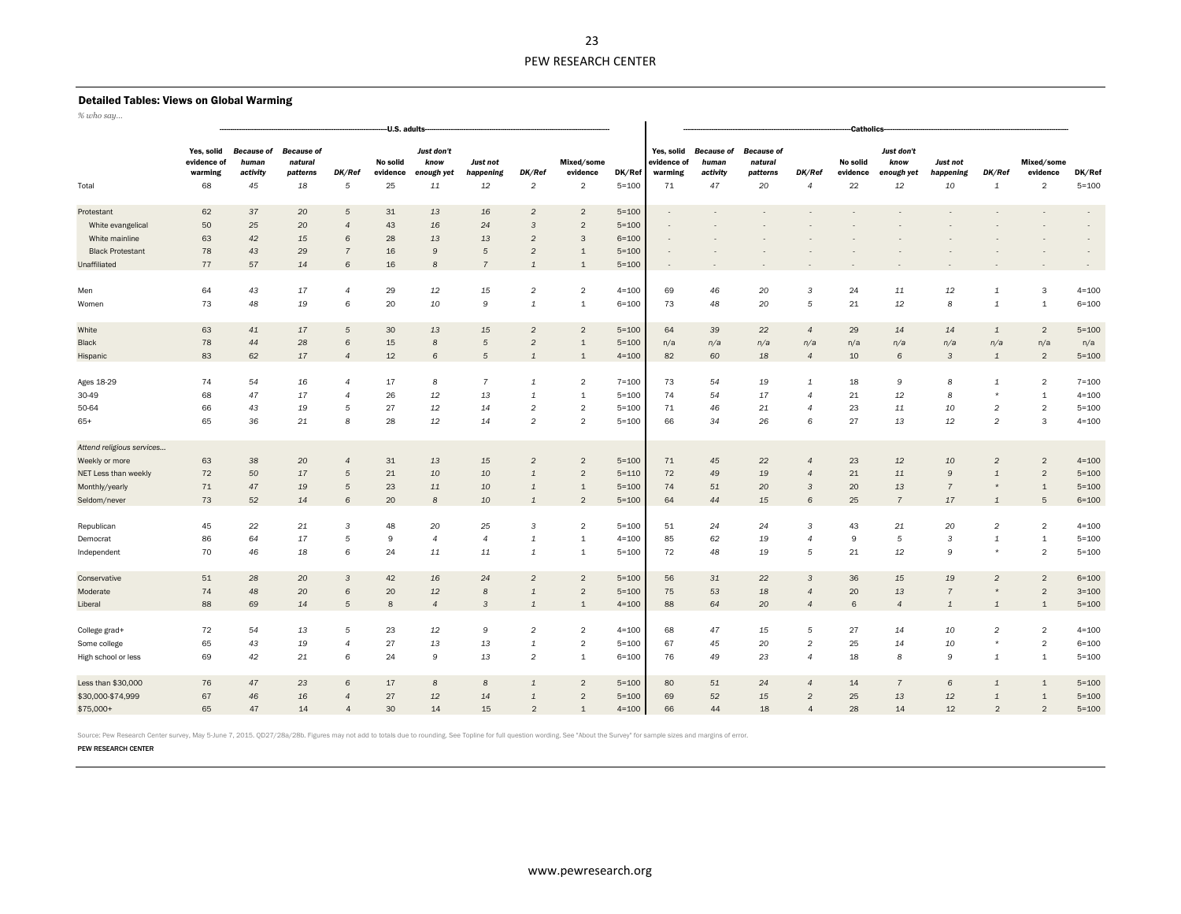#### Detailed Tables: Views on Global Warming

*% who say…*

| % wno say                                   | --U.S. adults-                             |                                              |                                                |                     |                            |                                        |                             |                                |                                          |                        | -Catholics-                                |                                              |                                                |                          |                            |                                        |                                    |                        |                             |                     |  |  |
|---------------------------------------------|--------------------------------------------|----------------------------------------------|------------------------------------------------|---------------------|----------------------------|----------------------------------------|-----------------------------|--------------------------------|------------------------------------------|------------------------|--------------------------------------------|----------------------------------------------|------------------------------------------------|--------------------------|----------------------------|----------------------------------------|------------------------------------|------------------------|-----------------------------|---------------------|--|--|
| Total                                       | Yes, solid<br>evidence of<br>warming<br>68 | <b>Because of</b><br>human<br>activity<br>45 | <b>Because of</b><br>natural<br>patterns<br>18 | DK/Ref<br>5         | No solid<br>evidence<br>25 | Just don't<br>know<br>enough yet<br>11 | Just not<br>happening<br>12 | DK/Ref<br>$\overline{c}$       | Mixed/some<br>evidence<br>$\overline{2}$ | DK/Ref<br>$5 = 100$    | Yes, solid<br>evidence of<br>warming<br>71 | <b>Because of</b><br>human<br>activity<br>47 | <b>Because of</b><br>natural<br>patterns<br>20 | DK/Ref<br>$\overline{4}$ | No solid<br>evidence<br>22 | Just don't<br>know<br>enough yet<br>12 | <b>Just not</b><br>happening<br>10 | DK/Ref<br>$\mathbf{1}$ | Mixed/some<br>evidence<br>2 | DK/Ref<br>$5 = 100$ |  |  |
|                                             |                                            |                                              |                                                |                     |                            |                                        |                             |                                |                                          |                        |                                            |                                              |                                                |                          |                            |                                        |                                    |                        |                             |                     |  |  |
| Protestant                                  | 62<br>50                                   | 37                                           | 20                                             | 5<br>$\overline{4}$ | 31                         | 13                                     | 16                          | $\overline{2}$                 | $\overline{2}$                           | $5 = 100$              |                                            |                                              |                                                |                          |                            |                                        |                                    |                        |                             | $\sim$<br>$\sim$    |  |  |
| White evangelical<br>White mainline         | 63                                         | 25<br>42                                     | 20<br>15                                       | 6                   | 43<br>28                   | 16<br>13                               | 24<br>13                    | $\mathbf{3}$<br>$\overline{2}$ | $\overline{2}$<br>$\mathbf{3}$           | $5 = 100$<br>$6 = 100$ |                                            |                                              |                                                |                          |                            |                                        |                                    |                        |                             |                     |  |  |
| <b>Black Protestant</b>                     | 78                                         | 43                                           | 29                                             | $\overline{7}$      | 16                         | 9                                      | 5                           | $\overline{2}$                 | $\mathbf{1}$                             | $5 = 100$              |                                            |                                              |                                                |                          |                            |                                        |                                    |                        |                             |                     |  |  |
|                                             | 77                                         | 57                                           |                                                | 6                   | 16                         | 8                                      | $\overline{7}$              |                                |                                          |                        |                                            |                                              |                                                |                          |                            |                                        |                                    |                        |                             |                     |  |  |
| Unaffiliated                                |                                            |                                              | 14                                             |                     |                            |                                        |                             | $\mathbf{1}$                   | $\mathbf{1}$                             | $5 = 100$              |                                            |                                              |                                                |                          |                            |                                        |                                    |                        |                             |                     |  |  |
| Men                                         | 64                                         | 43                                           | 17                                             | $\overline{4}$      | 29                         | 12                                     | 15                          | $\overline{c}$                 | $\overline{2}$                           | $4 = 100$              | 69                                         | 46                                           | 20                                             | 3                        | 24                         | 11                                     | 12                                 | 1                      | 3                           | $4 = 100$           |  |  |
| Women                                       | 73                                         | 48                                           | 19                                             | 6                   | 20                         | 10                                     | 9                           | $\mathbf{1}$                   | $\mathbf{1}$                             | $6 = 100$              | 73                                         | 48                                           | 20                                             | 5                        | 21                         | 12                                     | 8                                  | $\mathbf{1}$           | $\mathbf{1}$                | $6 = 100$           |  |  |
|                                             |                                            |                                              |                                                |                     |                            |                                        |                             |                                |                                          |                        |                                            |                                              |                                                |                          |                            |                                        |                                    |                        |                             |                     |  |  |
| White                                       | 63                                         | 41                                           | 17                                             | 5                   | 30                         | 13                                     | 15                          | $\overline{2}$                 | $\overline{2}$                           | $5 = 100$              | 64                                         | 39                                           | 22                                             | $\overline{4}$           | 29                         | 14                                     | 14                                 | $\mathbf{1}$           | $\overline{2}$              | $5 = 100$           |  |  |
| Black                                       | 78                                         | 44                                           | 28                                             | 6                   | $15\,$                     | 8                                      | 5                           | $\overline{c}$                 | $\mathbf{1}$                             | $5 = 100$              | n/a                                        | n/a                                          | n/a                                            | n/a                      | n/a                        | n/a                                    | n/a                                | n/a                    | n/a                         | n/a                 |  |  |
| Hispanic                                    | 83                                         | 62                                           | 17                                             | $\overline{4}$      | 12                         | $\epsilon$                             | $\overline{5}$              | $\mathbf{1}$                   | $\mathbf{1}$                             | $4 = 100$              | 82                                         | 60                                           | 18                                             | $\overline{4}$           | 10                         | 6                                      | $\mathbf{3}$                       | $\mathbf{1}$           | $\overline{2}$              | $5 = 100$           |  |  |
| Ages 18-29                                  | 74                                         | 54                                           | 16                                             | $\overline{4}$      | 17                         | 8                                      | $\overline{7}$              | $\mathbf{1}$                   | $\overline{2}$                           | $7 = 100$              | 73                                         | 54                                           | 19                                             | $\mathbf{1}$             | 18                         | 9                                      | 8                                  | $\mathbf{1}$           | $\overline{2}$              | $7 = 100$           |  |  |
| 30-49                                       | 68                                         | 47                                           | 17                                             | $\overline{4}$      | 26                         | 12                                     | 13                          | 1                              | $\mathbf{1}$                             | $5 = 100$              | 74                                         | 54                                           | 17                                             | $\Delta$                 | 21                         | 12                                     | 8                                  | $\star$                | $\mathbf{1}$                | $4 = 100$           |  |  |
| 50-64                                       | 66                                         | 43                                           | 19                                             | 5                   | 27                         | 12                                     | 14                          | $\overline{c}$                 | $\overline{2}$                           | $5 = 100$              | 71                                         | 46                                           | 21                                             | $\overline{4}$           | 23                         | 11                                     | 10                                 | $\overline{2}$         | $\overline{c}$              | $5 = 100$           |  |  |
| $65+$                                       | 65                                         | 36                                           | 21                                             | 8                   | 28                         | 12                                     | 14                          | $\overline{c}$                 | $\overline{2}$                           | $5 = 100$              | 66                                         | 34                                           | 26                                             | 6                        | 27                         | 13                                     | 12                                 | $\overline{c}$         | 3                           | $4 = 100$           |  |  |
|                                             |                                            |                                              |                                                |                     |                            |                                        |                             |                                |                                          |                        |                                            |                                              |                                                |                          |                            |                                        |                                    |                        |                             |                     |  |  |
| Attend religious services<br>Weekly or more | 63                                         | 38                                           | 20                                             | $\overline{a}$      | 31                         | 13                                     | 15                          | $\overline{2}$                 | $\overline{2}$                           | $5 = 100$              | 71                                         | 45                                           | 22                                             | $\overline{4}$           | 23                         | 12                                     | 10                                 | $\overline{2}$         | $\overline{2}$              | $4 = 100$           |  |  |
| NET Less than weekly                        | 72                                         | 50                                           | 17                                             | 5                   | 21                         | 10                                     | 10                          | $\mathbf{1}$                   | $\overline{2}$                           | $5 = 110$              | 72                                         | 49                                           | 19                                             | $\boldsymbol{\Delta}$    | 21                         | 11                                     | 9                                  | $\mathbf{1}$           | $\overline{2}$              | $5 = 100$           |  |  |
| Monthly/yearly                              | 71                                         | 47                                           | 19                                             | 5                   | 23                         | 11                                     | 10                          | $\mathbf{1}$                   | $\mathbf{1}$                             | $5 = 100$              | 74                                         | 51                                           | 20                                             | 3                        | 20                         | 13                                     | $\overline{7}$                     |                        | $\mathbf{1}$                | $5 = 100$           |  |  |
| Seldom/never                                | 73                                         | 52                                           | 14                                             | 6                   | 20                         | 8                                      | 10                          | $\mathbf{1}$                   | $\overline{2}$                           | $5 = 100$              | 64                                         | 44                                           | 15                                             | 6                        | 25                         | $\overline{7}$                         | 17                                 | $\mathbf{1}$           | 5                           | $6 = 100$           |  |  |
|                                             |                                            |                                              |                                                |                     |                            |                                        |                             |                                |                                          |                        |                                            |                                              |                                                |                          |                            |                                        |                                    |                        |                             |                     |  |  |
| Republican                                  | 45                                         | 22                                           | 21                                             | 3                   | 48                         | 20                                     | 25                          | 3                              | $\overline{2}$                           | $5 = 100$              | 51                                         | 24                                           | 24                                             | 3                        | 43                         | 21                                     | 20                                 | $\overline{c}$         | $\sqrt{2}$                  | $4 = 100$           |  |  |
| Democrat                                    | 86                                         | 64                                           | 17                                             | 5                   | 9                          | $\overline{4}$                         | $\overline{4}$              | $\mathbf{1}$                   | $\mathbf{1}$                             | $4 = 100$              | 85                                         | 62                                           | 19                                             | $\overline{4}$           | 9                          | 5                                      | 3                                  | 1                      | $\mathbf{1}$                | $5 = 100$           |  |  |
| Independent                                 | 70                                         | 46                                           | 18                                             | 6                   | 24                         | 11                                     | 11                          | 1                              | 1                                        | $5 = 100$              | 72                                         | 48                                           | 19                                             | 5                        | 21                         | 12                                     | 9                                  |                        | $\overline{c}$              | $5 = 100$           |  |  |
|                                             |                                            |                                              |                                                |                     |                            |                                        |                             |                                |                                          |                        |                                            |                                              |                                                |                          |                            |                                        |                                    |                        |                             |                     |  |  |
| Conservative                                | 51                                         | 28                                           | 20                                             | 3                   | 42                         | 16                                     | 24                          | $\overline{2}$                 | $\overline{2}$                           | $5 = 100$              | 56                                         | 31                                           | 22                                             | 3                        | 36                         | 15                                     | 19                                 | $\overline{2}$         | $\overline{2}$              | $6 = 100$           |  |  |
| Moderate                                    | 74                                         | 48                                           | 20                                             | 6                   | 20                         | 12                                     | 8                           | $\mathbf{1}$                   | $\overline{2}$                           | $5 = 100$              | 75                                         | 53                                           | 18                                             | $\overline{4}$           | 20                         | 13                                     | $\overline{7}$                     | $\star$                | $\overline{2}$              | $3 = 100$           |  |  |
| Liberal                                     | 88                                         | 69                                           | 14                                             | 5                   | 8                          | $\overline{4}$                         | 3                           | $\mathbf{1}$                   | $\mathbf{1}$                             | $4 = 100$              | 88                                         | 64                                           | 20                                             | $\Delta$                 | $\mathbf 6$                | $\overline{4}$                         | $\mathbf{1}$                       | $\mathbf{1}$           | $\mathbf{1}$                | $5 = 100$           |  |  |
| College grad+                               | 72                                         | 54                                           | 13                                             | 5                   | 23                         | 12                                     | 9                           | $\overline{c}$                 | $\overline{2}$                           | $4 = 100$              | 68                                         | 47                                           | 15                                             | 5                        | 27                         | 14                                     | 10                                 | $\overline{c}$         | $\overline{2}$              | $4 = 100$           |  |  |
| Some college                                | 65                                         | 43                                           | 19                                             | $\mathbf{A}$        | 27                         | 13                                     | 13                          | $\mathbf{1}$                   | $\overline{2}$                           | $5 = 100$              | 67                                         | 45                                           | 20                                             | $\mathfrak{D}$           | 25                         | 14                                     | 10                                 | $\star$                | $\overline{2}$              | $6 = 100$           |  |  |
| High school or less                         | 69                                         | 42                                           | 21                                             | 6                   | 24                         | 9                                      | 13                          | $\mathfrak{D}$                 | 1                                        | $6 = 100$              | 76                                         | 49                                           | 23                                             | $\overline{4}$           | 18                         | 8                                      | 9                                  | 1                      | $\mathbf{1}$                | $5 = 100$           |  |  |
|                                             |                                            |                                              |                                                |                     |                            |                                        |                             |                                |                                          |                        |                                            |                                              |                                                |                          |                            |                                        |                                    |                        |                             |                     |  |  |
| Less than \$30,000                          | 76                                         | 47                                           | 23                                             | 6                   | 17                         | 8                                      | 8                           | $\mathbf{1}$                   | $\overline{2}$                           | $5 = 100$              | 80                                         | 51                                           | 24                                             | $\overline{4}$           | 14                         | $\overline{7}$                         | 6                                  | $\mathbf{1}$           | $\mathbf{1}$                | $5 = 100$           |  |  |
| \$30,000-\$74,999                           | 67                                         | 46                                           | 16                                             | $\overline{4}$      | 27                         | 12                                     | 14                          | $\mathbf{1}$                   | $\overline{2}$                           | $5 = 100$              | 69                                         | 52                                           | 15                                             | $\overline{2}$           | 25                         | 13                                     | 12                                 | $\mathbf{1}$           | $\mathbf{1}$                | $5 = 100$           |  |  |
| \$75,000+                                   | 65                                         | 47                                           | 14                                             | $\overline{4}$      | 30                         | 14                                     | 15                          | 2                              | $\overline{1}$                           | $4 = 100$              | 66                                         | 44                                           | 18                                             | $\overline{4}$           | 28                         | 14                                     | 12                                 | $\overline{2}$         | $\overline{2}$              | $5 = 100$           |  |  |

Source: Pew Research Center survey, May 5-June 7, 2015. QD27/28a/28b. Figures may not add to totals due to rounding. See Topline for full question wording. See "About the Survey" for sample sizes and margins of error.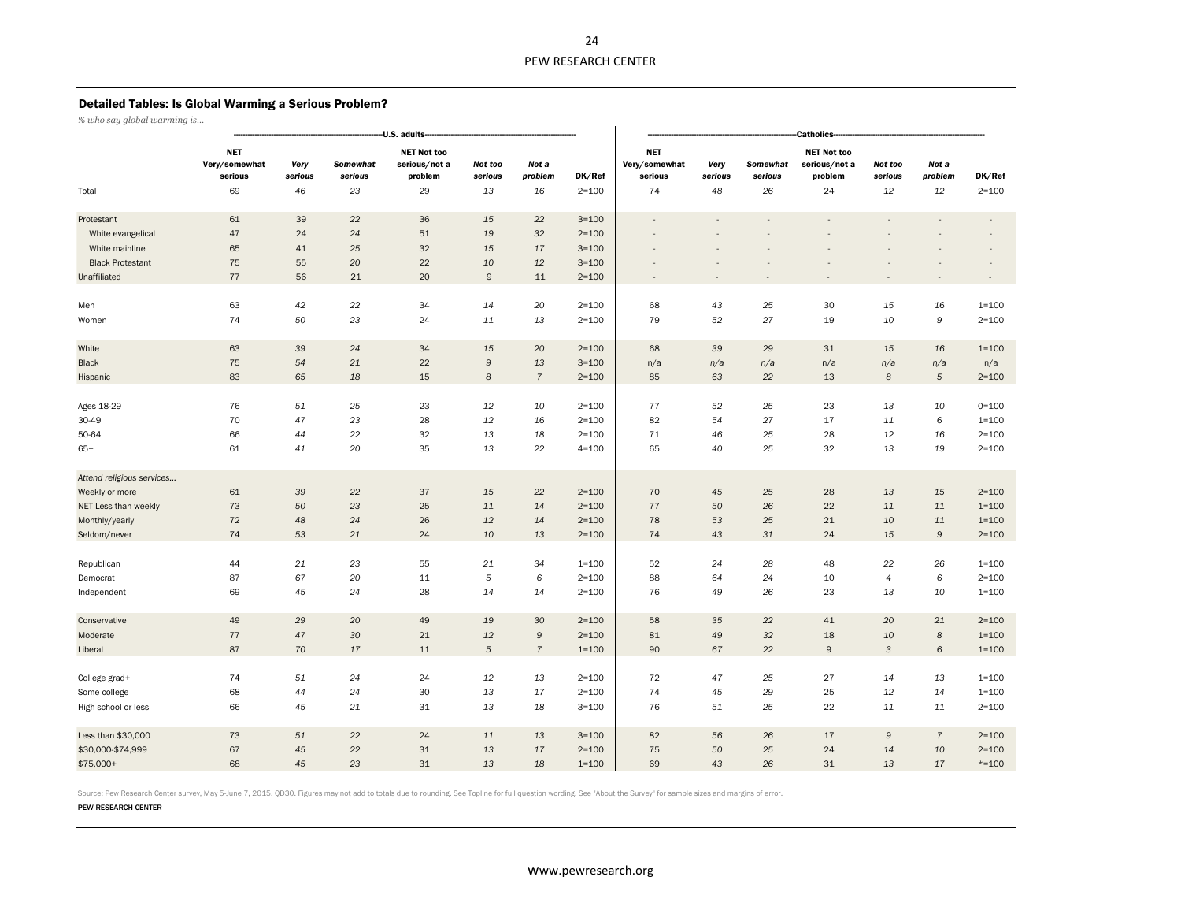# Detailed Tables: Is Global Warming a Serious Problem?

*% who say global warming is…*

|                           |                                        |                 |                     | -U.S. adults-                                  |                    |                  |           | <b>Catholics-</b>                      |                 |                     |                                                |                    |                  |           |  |  |  |  |
|---------------------------|----------------------------------------|-----------------|---------------------|------------------------------------------------|--------------------|------------------|-----------|----------------------------------------|-----------------|---------------------|------------------------------------------------|--------------------|------------------|-----------|--|--|--|--|
|                           | <b>NET</b><br>Very/somewhat<br>serious | Very<br>serious | Somewhat<br>serious | <b>NET Not too</b><br>serious/not a<br>problem | Not too<br>serious | Not a<br>problem | DK/Ref    | <b>NET</b><br>Very/somewhat<br>serious | Very<br>serious | Somewhat<br>serious | <b>NET Not too</b><br>serious/not a<br>problem | Not too<br>serious | Not a<br>problem | DK/Ref    |  |  |  |  |
| Total                     | 69                                     | 46              | 23                  | 29                                             | 13                 | 16               | $2 = 100$ | 74                                     | 48              | 26                  | 24                                             | 12                 | 12               | $2 = 100$ |  |  |  |  |
| Protestant                | 61                                     | 39              | 22                  | 36                                             | 15                 | 22               | $3 = 100$ |                                        |                 |                     |                                                |                    |                  |           |  |  |  |  |
| White evangelical         | 47                                     | 24              | 24                  | 51                                             | 19                 | 32               | $2 = 100$ |                                        |                 |                     |                                                |                    |                  |           |  |  |  |  |
| White mainline            | 65                                     | 41              | 25                  | 32                                             | 15                 | 17               | $3 = 100$ |                                        |                 |                     |                                                |                    |                  |           |  |  |  |  |
| <b>Black Protestant</b>   | 75                                     | 55              | 20                  | 22                                             | 10                 | 12               | $3 = 100$ |                                        |                 |                     |                                                |                    |                  |           |  |  |  |  |
| Unaffiliated              | 77                                     | 56              | 21                  | 20                                             | $\mathsf{9}$       | 11               | $2 = 100$ |                                        |                 |                     |                                                |                    |                  |           |  |  |  |  |
| Men                       | 63                                     | 42              | 22                  | 34                                             | 14                 | 20               | $2 = 100$ | 68                                     | 43              | 25                  | 30                                             | 15                 | 16               | $1 = 100$ |  |  |  |  |
| Women                     | 74                                     | 50              | 23                  | 24                                             | 11                 | 13               | $2 = 100$ | 79                                     | 52              | 27                  | 19                                             | 10                 | 9                | $2 = 100$ |  |  |  |  |
| White                     | 63                                     | 39              | 24                  | 34                                             | 15                 | 20               | $2 = 100$ | 68                                     | 39              | 29                  | 31                                             | 15                 | 16               | $1 = 100$ |  |  |  |  |
| Black                     | 75                                     | 54              | 21                  | 22                                             | 9                  | 13               | $3 = 100$ | n/a                                    | n/a             | n/a                 | n/a                                            | n/a                | n/a              | n/a       |  |  |  |  |
| Hispanic                  | 83                                     | 65              | 18                  | 15                                             | 8                  | $\overline{7}$   | $2 = 100$ | 85                                     | 63              | 22                  | 13                                             | $\boldsymbol{8}$   | $\sqrt{5}$       | $2 = 100$ |  |  |  |  |
| Ages 18-29                | 76                                     | 51              | 25                  | 23                                             | 12                 | 10               | $2 = 100$ | 77                                     | 52              | 25                  | 23                                             | 13                 | 10               | $0 = 100$ |  |  |  |  |
| 30-49                     | 70                                     | 47              | 23                  | 28                                             | 12                 | 16               | $2 = 100$ | 82                                     | 54              | 27                  | 17                                             | 11                 | $\epsilon$       | $1 = 100$ |  |  |  |  |
| 50-64                     | 66                                     | 44              | 22                  | 32                                             | 13                 | 18               | $2 = 100$ | 71                                     | 46              | 25                  | 28                                             | 12                 | 16               | $2 = 100$ |  |  |  |  |
| $65+$                     | 61                                     | 41              | 20                  | 35                                             | 13                 | 22               | $4 = 100$ | 65                                     | 40              | 25                  | 32                                             | 13                 | 19               | $2 = 100$ |  |  |  |  |
| Attend religious services |                                        |                 |                     |                                                |                    |                  |           |                                        |                 |                     |                                                |                    |                  |           |  |  |  |  |
| Weekly or more            | 61                                     | 39              | 22                  | 37                                             | 15                 | 22               | $2 = 100$ | 70                                     | 45              | 25                  | 28                                             | 13                 | 15               | $2 = 100$ |  |  |  |  |
| NET Less than weekly      | 73                                     | 50              | 23                  | 25                                             | 11                 | 14               | $2 = 100$ | 77                                     | 50              | 26                  | 22                                             | 11                 | 11               | $1 = 100$ |  |  |  |  |
| Monthly/yearly            | 72                                     | 48              | 24                  | 26                                             | 12                 | 14               | $2 = 100$ | 78                                     | 53              | 25                  | 21                                             | 10                 | 11               | $1 = 100$ |  |  |  |  |
| Seldom/never              | 74                                     | 53              | 21                  | 24                                             | 10                 | 13               | $2 = 100$ | 74                                     | 43              | 31                  | 24                                             | 15                 | $\mathsf{9}$     | $2 = 100$ |  |  |  |  |
| Republican                | 44                                     | 21              | 23                  | 55                                             | 21                 | 34               | $1 = 100$ | 52                                     | 24              | 28                  | 48                                             | 22                 | 26               | $1 = 100$ |  |  |  |  |
| Democrat                  | 87                                     | 67              | 20                  | 11                                             | 5                  | 6                | $2 = 100$ | 88                                     | 64              | 24                  | 10                                             | $\overline{4}$     | 6                | $2 = 100$ |  |  |  |  |
| Independent               | 69                                     | 45              | 24                  | 28                                             | 14                 | 14               | $2 = 100$ | 76                                     | 49              | 26                  | 23                                             | 13                 | 10               | $1 = 100$ |  |  |  |  |
| Conservative              | 49                                     | 29              | 20                  | 49                                             | 19                 | 30               | $2 = 100$ | 58                                     | 35              | 22                  | 41                                             | 20                 | 21               | $2 = 100$ |  |  |  |  |
| Moderate                  | 77                                     | 47              | 30                  | 21                                             | 12                 | 9                | $2 = 100$ | 81                                     | 49              | 32                  | 18                                             | 10                 | $\boldsymbol{8}$ | $1 = 100$ |  |  |  |  |
| Liberal                   | 87                                     | 70              | 17                  | $11\,$                                         | $\sqrt{5}$         | $\overline{7}$   | $1 = 100$ | 90                                     | 67              | 22                  | $\mathsf 9$                                    | $\mathsf 3$        | $\,6\,$          | $1 = 100$ |  |  |  |  |
| College grad+             | 74                                     | 51              | 24                  | 24                                             | 12                 | 13               | $2 = 100$ | 72                                     | 47              | 25                  | 27                                             | 14                 | 13               | $1 = 100$ |  |  |  |  |
| Some college              | 68                                     | 44              | 24                  | 30                                             | 13                 | 17               | $2 = 100$ | 74                                     | 45              | 29                  | 25                                             | 12                 | 14               | $1 = 100$ |  |  |  |  |
| High school or less       | 66                                     | 45              | 21                  | 31                                             | 13                 | 18               | $3 = 100$ | 76                                     | 51              | 25                  | 22                                             | 11                 | 11               | $2 = 100$ |  |  |  |  |
| Less than \$30,000        | 73                                     | 51              | 22                  | 24                                             | 11                 | 13               | $3 = 100$ | 82                                     | 56              | 26                  | 17                                             | 9                  | $\overline{7}$   | $2 = 100$ |  |  |  |  |
| \$30,000-\$74,999         | 67                                     | 45              | 22                  | 31                                             | 13                 | 17               | $2 = 100$ | 75                                     | 50              | 25                  | 24                                             | 14                 | 10               | $2 = 100$ |  |  |  |  |
| $$75,000+$                | 68                                     | 45              | 23                  | 31                                             | 13                 | 18               | $1 = 100$ | 69                                     | 43              | 26                  | 31                                             | 13                 | 17               | $*=100$   |  |  |  |  |

Source: Pew Research Center survey, May 5-June 7, 2015. QD30. Figures may not add to totals due to rounding. See Topline for full question wording. See "About the Survey" for sample sizes and margins of error.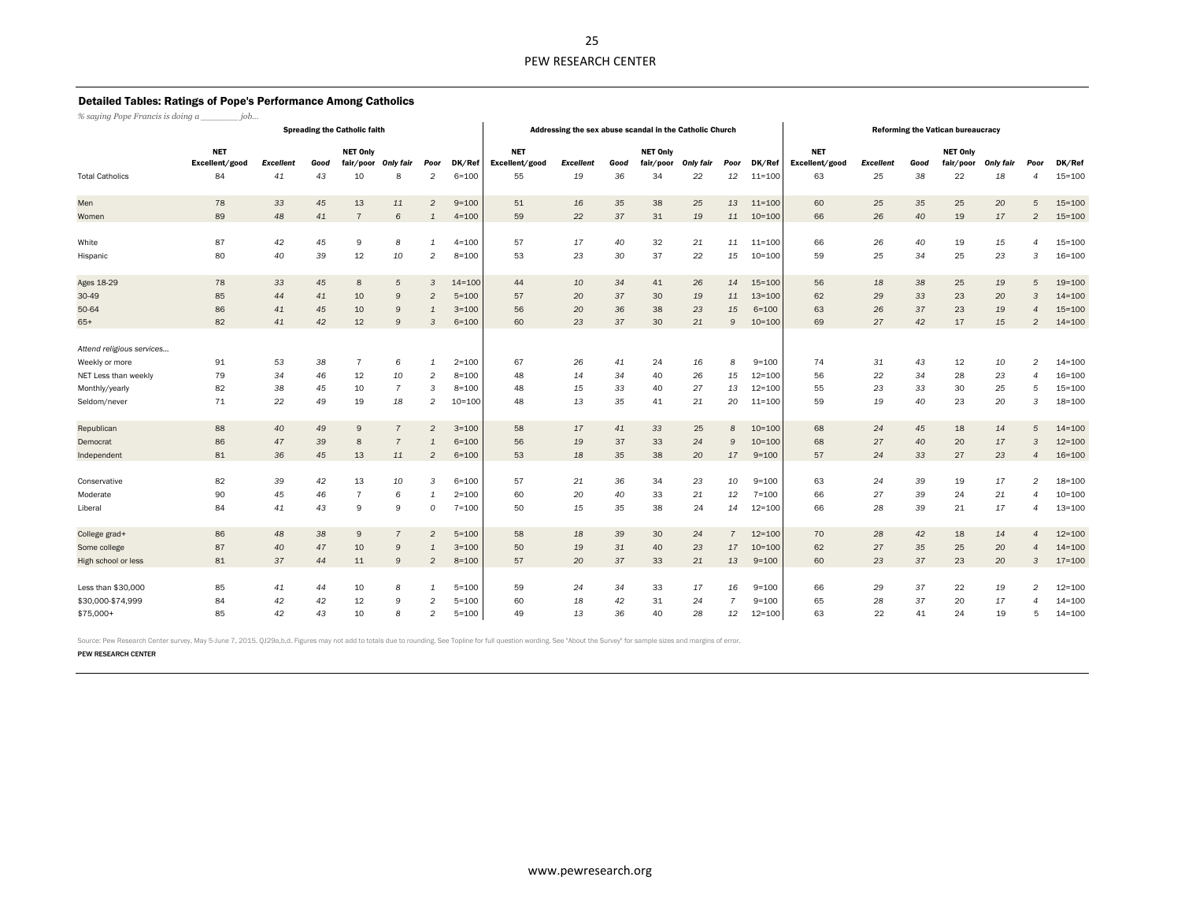#### Detailed Tables: Ratings of Pope's Performance Among Catholics

*% saying Pope Francis is doing a \_\_\_\_\_\_\_ job…*

| % saying Pope Francis is aoing a | JOD                          |                  |      | <b>Spreading the Catholic faith</b> |                |                |            |                                                                                                                                | Addressing the sex abuse scandal in the Catholic Church |    |    |    |                                                                                                                                |            | <b>Reforming the Vatican bureaucracy</b> |            |    |    |    |                |            |  |  |  |  |  |  |
|----------------------------------|------------------------------|------------------|------|-------------------------------------|----------------|----------------|------------|--------------------------------------------------------------------------------------------------------------------------------|---------------------------------------------------------|----|----|----|--------------------------------------------------------------------------------------------------------------------------------|------------|------------------------------------------|------------|----|----|----|----------------|------------|--|--|--|--|--|--|
|                                  | <b>NET</b><br>Excellent/good | <b>Excellent</b> | Good | <b>NET Only</b><br>fair/poor        | Only fair      | Poor           | DK/Ref     | <b>NET</b><br><b>NET Only</b><br>Excellent/good<br><b>Excellent</b><br>Good<br>fair/poor<br><b>Only fair</b><br>Poor<br>DK/Ref |                                                         |    |    |    | <b>NET</b><br><b>NET Only</b><br>Excellent/good<br><b>Excellent</b><br>Good<br>fair/poor<br><b>Only fair</b><br>Poor<br>DK/Ref |            |                                          |            |    |    |    |                |            |  |  |  |  |  |  |
| <b>Total Catholics</b>           | 84                           | 41               | 43   | 10                                  | 8              | $\overline{2}$ | $6 = 100$  | 55                                                                                                                             | 19                                                      | 36 | 34 | 22 | 12                                                                                                                             | $11 = 100$ | 63                                       | 25         | 38 | 22 | 18 |                | $15 = 100$ |  |  |  |  |  |  |
| Men                              | 78                           | 33               | 45   | 13                                  | 11             | $\overline{2}$ | $9 = 100$  | 51                                                                                                                             | 16                                                      | 35 | 38 | 25 | 13                                                                                                                             | $11 = 100$ | 60                                       | 25         | 35 | 25 | 20 | 5              | $15 = 100$ |  |  |  |  |  |  |
| Women                            | 89                           | 48               | 41   | 7                                   | 6              | $\mathbf{1}$   | $4 = 100$  | 59                                                                                                                             | 22                                                      | 37 | 31 | 19 | 11                                                                                                                             | $10 = 100$ | 66                                       | 26         | 40 | 19 | 17 | $\overline{2}$ | $15 = 100$ |  |  |  |  |  |  |
| White                            | 87                           | 42               | 45   | 9                                   | 8              | $\mathbf{1}$   | $4 = 100$  | 57                                                                                                                             | 17                                                      | 40 | 32 | 21 | 11                                                                                                                             | $11 = 100$ | 66                                       | 26         | 40 | 19 | 15 | $\overline{a}$ | $15 = 100$ |  |  |  |  |  |  |
| Hispanic                         | 80                           | 40               | 39   | 12                                  | 10             | 2              | $8 = 100$  | 53                                                                                                                             | 23                                                      | 30 | 37 | 22 | 15                                                                                                                             | $10 = 100$ | 59                                       | 25         | 34 | 25 | 23 | 3              | $16 = 100$ |  |  |  |  |  |  |
| Ages 18-29                       | 78                           | 33               | 45   | 8                                   | 5              | 3              | $14 = 100$ | 44                                                                                                                             | 10                                                      | 34 | 41 | 26 | 14                                                                                                                             | $15 = 100$ | 56                                       | 18         | 38 | 25 | 19 | 5              | $19 = 100$ |  |  |  |  |  |  |
| 30-49                            | 85                           | 44               | 41   | 10                                  | 9              | $\overline{2}$ | $5 = 100$  | 57                                                                                                                             | 20                                                      | 37 | 30 | 19 | 11                                                                                                                             | $13 = 100$ | 62                                       | 29         | 33 | 23 | 20 | 3              | $14 = 100$ |  |  |  |  |  |  |
| 50-64                            | 86                           | 41               | 45   | 10                                  | 9              | $\mathbf{1}$   | $3 = 100$  | 56                                                                                                                             | 20                                                      | 36 | 38 | 23 | 15                                                                                                                             | $6 = 100$  | 63                                       | 26         | 37 | 23 | 19 | $\overline{a}$ | $15 = 100$ |  |  |  |  |  |  |
| $65+$                            | 82                           | 41               | 42   | 12                                  | 9              | 3              | $6 = 100$  | 60                                                                                                                             | 23                                                      | 37 | 30 | 21 | 9                                                                                                                              | $10 = 100$ | 69                                       | 27         | 42 | 17 | 15 | $\mathcal{D}$  | $14 = 100$ |  |  |  |  |  |  |
| Attend religious services        |                              |                  |      |                                     |                |                |            |                                                                                                                                |                                                         |    |    |    |                                                                                                                                |            |                                          |            |    |    |    |                |            |  |  |  |  |  |  |
| Weekly or more                   | 91                           | 53               | 38   | 7                                   | 6              | 1              | $2 = 100$  | 67                                                                                                                             | 26                                                      | 41 | 24 | 16 | 8                                                                                                                              | $9 = 100$  | 74                                       | 31         | 43 | 12 | 10 | $\mathfrak{p}$ | $14 = 100$ |  |  |  |  |  |  |
| NET Less than weekly             | 79                           | 34               | 46   | 12                                  | 10             | 2              | $8 = 100$  | 48                                                                                                                             | 14                                                      | 34 | 40 | 26 | 15                                                                                                                             | $12 = 100$ | 56                                       | 22         | 34 | 28 | 23 |                | $16 = 100$ |  |  |  |  |  |  |
| Monthly/yearly                   | 82                           | 38               | 45   | 10                                  | $\overline{7}$ | 3              | $8 = 100$  | 48                                                                                                                             | 15                                                      | 33 | 40 | 27 | 13                                                                                                                             | $12 = 100$ | 55                                       | 23         | 33 | 30 | 25 | 5              | $15 = 100$ |  |  |  |  |  |  |
| Seldom/never                     | 71                           | 22               | 49   | 19                                  | 18             | 2              | $10 = 100$ | 48                                                                                                                             | 13                                                      | 35 | 41 | 21 | 20                                                                                                                             | $11 = 100$ | 59                                       | 19         | 40 | 23 | 20 | 3              | $18 = 100$ |  |  |  |  |  |  |
|                                  |                              |                  |      |                                     |                |                |            |                                                                                                                                |                                                         |    |    |    |                                                                                                                                |            |                                          |            |    |    |    |                |            |  |  |  |  |  |  |
| Republican                       | 88                           | 40               | 49   | 9                                   |                | $\overline{2}$ | $3 = 100$  | 58                                                                                                                             | 17                                                      | 41 | 33 | 25 | 8                                                                                                                              | $10 = 100$ | 68                                       | 24         | 45 | 18 | 14 |                | $14 = 100$ |  |  |  |  |  |  |
| Democrat                         | 86                           | 47               | 39   | 8                                   | $\overline{7}$ | $\mathbf{1}$   | $6 = 100$  | 56                                                                                                                             | 19                                                      | 37 | 33 | 24 | 9                                                                                                                              | $10 = 100$ | 68                                       | 27         | 40 | 20 | 17 | $\mathcal{R}$  | $12 = 100$ |  |  |  |  |  |  |
| Independent                      | 81                           | 36               | 45   | 13                                  | 11             | $\overline{2}$ | $6 = 100$  | 53                                                                                                                             | 18                                                      | 35 | 38 | 20 | 17                                                                                                                             | $9 = 100$  | 57                                       | 24         | 33 | 27 | 23 |                | $16 = 100$ |  |  |  |  |  |  |
|                                  |                              |                  |      |                                     |                |                |            |                                                                                                                                |                                                         |    |    |    |                                                                                                                                |            |                                          |            |    |    |    |                |            |  |  |  |  |  |  |
| Conservative                     | 82                           | 39               | 42   | 13                                  | 10             | 3              | $6 = 100$  | 57                                                                                                                             | 21                                                      | 36 | 34 | 23 | 10                                                                                                                             | $9 = 100$  | 63                                       | 24         | 39 | 19 | 17 | $\mathcal{P}$  | $18 = 100$ |  |  |  |  |  |  |
| Moderate                         | 90                           | 45               | 46   | $\overline{7}$                      | 6              | 1              | $2 = 100$  | 60                                                                                                                             | 20                                                      | 40 | 33 | 21 | 12                                                                                                                             | $7 = 100$  | 66                                       | 27         | 39 | 24 | 21 |                | $10 = 100$ |  |  |  |  |  |  |
| Liberal                          | 84                           | 41               | 43   | 9                                   | 9              | 0              | $7 = 100$  | 50                                                                                                                             | 15                                                      | 35 | 38 | 24 | 14                                                                                                                             | $12 = 100$ | 66                                       | 28         | 39 | 21 | 17 |                | $13 = 100$ |  |  |  |  |  |  |
| College grad+                    | 86                           | 48               | 38   | 9                                   |                | $\overline{2}$ | $5 = 100$  | 58                                                                                                                             | 18                                                      | 39 | 30 | 24 | $\overline{7}$                                                                                                                 | $12 = 100$ | 70                                       | 28         | 42 | 18 | 14 |                | $12 = 100$ |  |  |  |  |  |  |
| Some college                     | 87                           | $3 = 100$        | 50   | 19                                  | 31             | 40             | 23         | 17                                                                                                                             | $10 = 100$                                              | 62 | 27 | 35 | 25                                                                                                                             | 20         |                                          | $14 = 100$ |    |    |    |                |            |  |  |  |  |  |  |
| High school or less              | 81                           | $8 = 100$        | 57   | 20                                  | 37             | 33             | 21         | 13                                                                                                                             | $9 = 100$                                               | 60 | 23 | 37 | 23                                                                                                                             | 20         | 3                                        | $17 = 100$ |    |    |    |                |            |  |  |  |  |  |  |
|                                  |                              |                  |      |                                     |                |                |            |                                                                                                                                |                                                         |    |    |    |                                                                                                                                |            |                                          |            |    |    |    |                |            |  |  |  |  |  |  |
| Less than \$30,000               | 85                           | $5 = 100$        | 59   | 24                                  | 34             | 33             | 17         | 16                                                                                                                             | $9 = 100$                                               | 66 | 29 | 37 | 22                                                                                                                             | 19         |                                          | $12 = 100$ |    |    |    |                |            |  |  |  |  |  |  |
| \$30,000-\$74,999                | 84                           | $5 = 100$        | 60   | 18                                  | 42             | 31             | 24         | 7                                                                                                                              | $9 = 100$                                               | 65 | 28 | 37 | 20                                                                                                                             | 17         |                                          | $14 = 100$ |    |    |    |                |            |  |  |  |  |  |  |
| \$75,000+                        | 85                           | 42               | 43   | 10                                  | 8              | $\overline{c}$ | $5 = 100$  | 49                                                                                                                             | 13                                                      | 36 | 40 | 28 | 12                                                                                                                             | $12 = 100$ | 63                                       | 22         | 41 | 24 | 19 | 5              | $14 = 100$ |  |  |  |  |  |  |

Source: Pew Research Center survey, May 5-June 7, 2015. QJ29a,b,d. Figures may not add to totals due to rounding. See Topline for full question wording. See "About the Survey" for sample sizes and margins of error.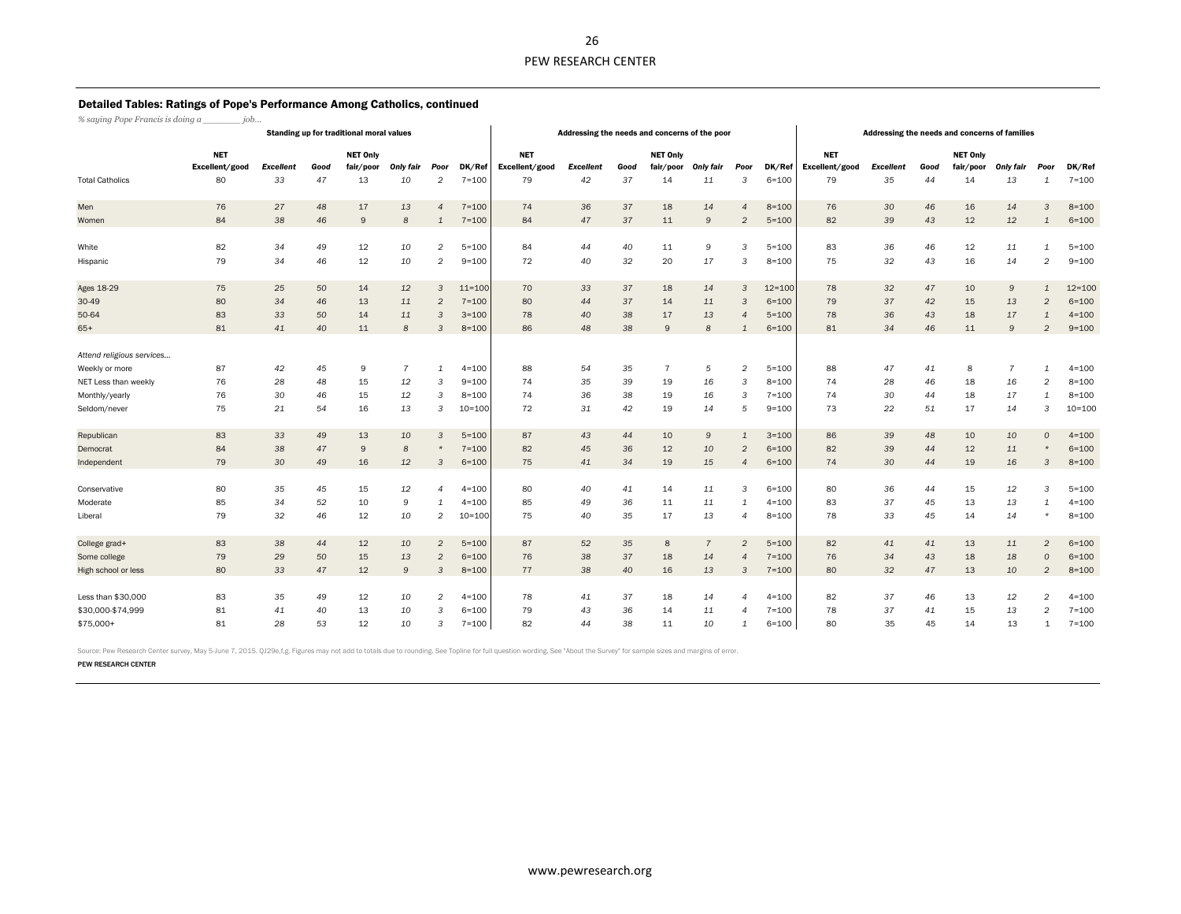#### Detailed Tables: Ratings of Pope's Performance Among Catholics, continued

*% saying Pope Francis is doing a \_\_\_\_\_\_\_ job…*

|                           |                |                  |      | Standing up for traditional moral values |                |                |            |                | Addressing the needs and concerns of the poor |      |                 | Addressing the needs and concerns of families |                |            |                |                  |      |                 |                  |                |            |
|---------------------------|----------------|------------------|------|------------------------------------------|----------------|----------------|------------|----------------|-----------------------------------------------|------|-----------------|-----------------------------------------------|----------------|------------|----------------|------------------|------|-----------------|------------------|----------------|------------|
|                           | <b>NET</b>     |                  |      | <b>NET Only</b>                          |                |                |            | <b>NET</b>     |                                               |      | <b>NET Only</b> |                                               |                |            | <b>NET</b>     |                  |      | <b>NET Only</b> |                  |                |            |
|                           | Excellent/good | <b>Excellent</b> | Good | fair/poor                                | Only fair      | Poor           | DK/Ref     | Excellent/good | <b>Excellent</b>                              | Good | fair/poor       | <b>Only fair</b>                              | Poor           | DK/Ref     | Excellent/good | <b>Excellent</b> | Good | fair/poor       | <b>Only fair</b> | Poor           | DK/Ref     |
| <b>Total Catholics</b>    | 80             | 33               | 47   | 13                                       | 10             | 2              | $7 = 100$  | 79             | 42                                            | 37   | 14              | 11                                            | 3              | $6 = 100$  | 79             | 35               | 44   | 14              | 13               | $\mathbf{1}$   | $7 = 100$  |
| Men                       | 76             | 27               | 48   | 17                                       | 13             | $\overline{4}$ | $7 = 100$  | 74             | 36                                            | 37   | 18              | 14                                            | 4              | $8 = 100$  | 76             | 30               | 46   | 16              | 14               | 3              | $8 = 100$  |
| Women                     | 84             | 38               | 46   | 9                                        | 8              | $\mathbf{1}$   | $7 = 100$  | 84             | 47                                            | 37   | 11              | $\mathsf{9}$                                  | $\overline{2}$ | $5 = 100$  | 82             | 39               | 43   | 12              | 12               | $\mathbf{1}$   | $6 = 100$  |
| White                     | 82             | 34               | 49   | 12                                       | 10             | $\overline{2}$ | $5 = 100$  | 84             | 44                                            | 40   | 11              | 9                                             | 3              | $5 = 100$  | 83             | 36               | 46   | 12              | 11               | 1              | $5 = 100$  |
| Hispanic                  | 79             | 34               | 46   | 12                                       | 10             | $\overline{2}$ | $9 = 100$  | 72             | 40                                            | 32   | 20              | 17                                            | 3              | $8 = 100$  | 75             | 32               | 43   | 16              | 14               | $\overline{2}$ | $9 = 100$  |
| Ages 18-29                | 75             | 25               | 50   | 14                                       | 12             | 3              | $11 = 100$ | 70             | 33                                            | 37   | 18              | 14                                            | 3              | $12 = 100$ | 78             | 32               | 47   | 10              | $\mathsf g$      | $\mathbf{1}$   | $12 = 100$ |
| 30-49                     | 80             | 34               | 46   | 13                                       | 11             | $\overline{2}$ | $7 = 100$  | 80             | 44                                            | 37   | 14              | 11                                            | 3              | $6 = 100$  | 79             | 37               | 42   | 15              | 13               | $\overline{2}$ | $6 = 100$  |
| 50-64                     | 83             | 33               | 50   | 14                                       | 11             | 3              | $3 = 100$  | 78             | 40                                            | 38   | 17              | 13                                            | 4              | $5 = 100$  | 78             | 36               | 43   | 18              | 17               | 1              | $4 = 100$  |
| $65+$                     | 81             | 41               | 40   | 11                                       | 8              | $\mathcal{R}$  | $8 = 100$  | 86             | 48                                            | 38   | 9               | 8                                             |                | $6 = 100$  | 81             | 34               | 46   | 11              | $\mathsf g$      | $\overline{2}$ | $9 = 100$  |
| Attend religious services |                |                  |      |                                          |                |                |            |                |                                               |      |                 |                                               |                |            |                |                  |      |                 |                  |                |            |
| Weekly or more            | 87             | 42               | 45   | 9                                        | $\overline{7}$ | 1              | $4 = 100$  | 88             | 54                                            | 35   | $\overline{7}$  | 5                                             | $\overline{a}$ | $5 = 100$  | 88             | 47               | 41   | 8               | $\overline{7}$   | 1              | $4 = 100$  |
| NET Less than weekly      | 76             | 28               | 48   | 15                                       | 12             | 3              | $9 = 100$  | 74             | 35                                            | 39   | 19              | 16                                            | 3              | $8 = 100$  | 74             | 28               | 46   | 18              | 16               | $\overline{2}$ | $8 = 100$  |
| Monthly/yearly            | 76             | 30               | 46   | 15                                       | 12             | 3              | $8 = 100$  | 74             | 36                                            | 38   | 19              | 16                                            | 3              | $7 = 100$  | 74             | 30               | 44   | 18              | 17               | 1              | $8 = 100$  |
| Seldom/never              | 75             | 21               | 54   | 16                                       | 13             | 3              | 10=100     | 72             | 31                                            | 42   | 19              | 14                                            | 5              | $9 = 100$  | 73             | 22               | 51   | 17              | 14               | 3              | $10 = 100$ |
| Republican                | 83             | 33               | 49   | 13                                       | 10             | 3              | $5 = 100$  | 87             | 43                                            | 44   | 10              | $\mathsf{9}$                                  | $\mathbf{1}$   | $3 = 100$  | 86             | 39               | 48   | 10              | 10               | $\Omega$       | $4 = 100$  |
| Democrat                  | 84             | 38               | 47   | 9                                        | 8              | $\star$        | $7 = 100$  | 82             | 45                                            | 36   | 12              | 10                                            | $\overline{2}$ | $6 = 100$  | 82             | 39               | 44   | 12              | 11               | $\star$        | $6 = 100$  |
| Independent               | 79             | 30               | 49   | 16                                       | 12             | 3              | $6 = 100$  | 75             | 41                                            | 34   | 19              | 15                                            | 4              | $6 = 100$  | 74             | 30               | 44   | 19              | 16               | 3              | $8 = 100$  |
|                           |                |                  |      |                                          |                |                |            |                |                                               |      |                 |                                               |                |            |                |                  |      |                 |                  |                |            |
| Conservative              | 80             | 35               | 45   | 15                                       | 12             | 4              | $4 = 100$  | 80             | 40                                            | 41   | 14              | 11                                            | 3              | $6 = 100$  | 80             | 36               | 44   | 15              | 12               | 3              | $5 = 100$  |
| Moderate                  | 85             | 34               | 52   | 10                                       | 9              | 1              | $4 = 100$  | 85             | 49                                            | 36   | 11              | 11                                            | 1              | $4 = 100$  | 83             | 37               | 45   | 13              | 13               | 1              | $4 = 100$  |
| Liberal                   | 79             | 32               | 46   | 12                                       | 10             | $\overline{2}$ | 10=100     | 75             | 40                                            | 35   | 17              | 13                                            | 4              | $8 = 100$  | 78             | 33               | 45   | 14              | 14               | $\star$        | $8 = 100$  |
| College grad+             | 83             | 38               | 44   | 12                                       | 10             | $\overline{2}$ | $5 = 100$  | 87             | 52                                            | 35   | 8               | $\overline{7}$                                | $\overline{2}$ | $5 = 100$  | 82             | 41               | 41   | 13              | 11               | $\overline{2}$ | $6 = 100$  |
| Some college              | 79             | 29               | 50   | 15                                       | 13             | $\overline{2}$ | $6 = 100$  | 76             | 38                                            | 37   | 18              | 14                                            | 4              | $7 = 100$  | 76             | 34               | 43   | 18              | 18               | $\Omega$       | $6 = 100$  |
| High school or less       | 80             | 33               | 47   | 12                                       | 9              | 3              | $8 = 100$  | 77             | 38                                            | 40   | 16              | 13                                            | 3              | $7 = 100$  | 80             | 32               | 47   | 13              | 10               | $\overline{2}$ | $8 = 100$  |
| Less than \$30,000        | 83             | 35               | 49   | 12                                       | 10             | $\overline{c}$ | $4 = 100$  | 78             | 41                                            | 37   | 18              | 14                                            | 4              | $4 = 100$  | 82             | 37               | 46   | 13              | 12               | $\overline{2}$ | $4 = 100$  |
| \$30,000-\$74,999         | 81             | 41               | 40   | 13                                       | 10             | 3              | $6 = 100$  | 79             | 43                                            | 36   | 14              | 11                                            | $\overline{4}$ | $7 = 100$  | 78             | 37               | 41   | 15              | 13               | $\overline{2}$ | $7 = 100$  |
| \$75,000+                 | 81             | 28               | 53   | 12                                       | 10             | 3              | $7 = 100$  | 82             | 44                                            | 38   | 11              | 10                                            | 1              | $6 = 100$  | 80             | 35               | 45   | 14              | 13               | 1              | $7 = 100$  |

Source: Pew Research Center survey, May 5-June 7, 2015. QJ29e,f,g. Figures may not add to totals due to rounding. See Topline for full question wording. See "About the Survey" for sample sizes and margins of error.